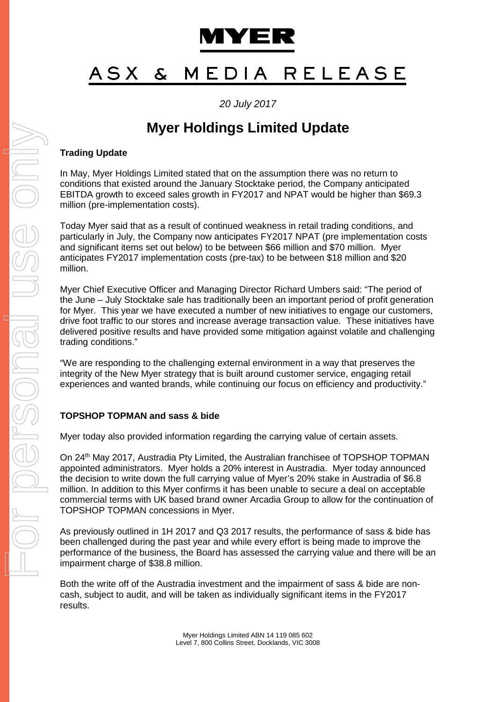

#### MEDIA RELEASE ASX  $\mathbf{z}$

## *20 July 2017*

# **Myer Holdings Limited Update**

## **Trading Update**

In May, Myer Holdings Limited stated that on the assumption there was no return to conditions that existed around the January Stocktake period, the Company anticipated EBITDA growth to exceed sales growth in FY2017 and NPAT would be higher than \$69.3 million (pre-implementation costs).

Today Myer said that as a result of continued weakness in retail trading conditions, and particularly in July, the Company now anticipates FY2017 NPAT (pre implementation costs and significant items set out below) to be between \$66 million and \$70 million. Myer anticipates FY2017 implementation costs (pre-tax) to be between \$18 million and \$20 million.

Myer Chief Executive Officer and Managing Director Richard Umbers said: "The period of the June – July Stocktake sale has traditionally been an important period of profit generation for Myer. This year we have executed a number of new initiatives to engage our customers, drive foot traffic to our stores and increase average transaction value. These initiatives have delivered positive results and have provided some mitigation against volatile and challenging trading conditions."

"We are responding to the challenging external environment in a way that preserves the integrity of the New Myer strategy that is built around customer service, engaging retail experiences and wanted brands, while continuing our focus on efficiency and productivity."

## **TOPSHOP TOPMAN and sass & bide**

Myer today also provided information regarding the carrying value of certain assets.

On 24th May 2017, Austradia Pty Limited, the Australian franchisee of TOPSHOP TOPMAN appointed administrators. Myer holds a 20% interest in Austradia. Myer today announced the decision to write down the full carrying value of Myer's 20% stake in Austradia of \$6.8 million. In addition to this Myer confirms it has been unable to secure a deal on acceptable commercial terms with UK based brand owner Arcadia Group to allow for the continuation of TOPSHOP TOPMAN concessions in Myer.

As previously outlined in 1H 2017 and Q3 2017 results, the performance of sass & bide has been challenged during the past year and while every effort is being made to improve the performance of the business, the Board has assessed the carrying value and there will be an impairment charge of \$38.8 million.

Both the write off of the Austradia investment and the impairment of sass & bide are noncash, subject to audit, and will be taken as individually significant items in the FY2017 results.